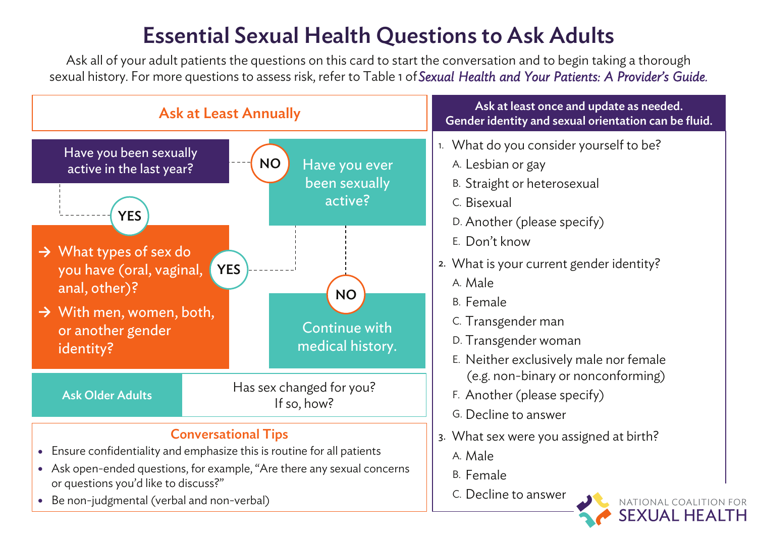# Essential Sexual Health Questions to Ask Adults

Ask all of your adult patients the questions on this card to start the conversation and to begin taking a thorough sexual history. For more questions to assess risk, refer to Table 1 of*Sexual Health and Your Patients: A Provider's Guide.*

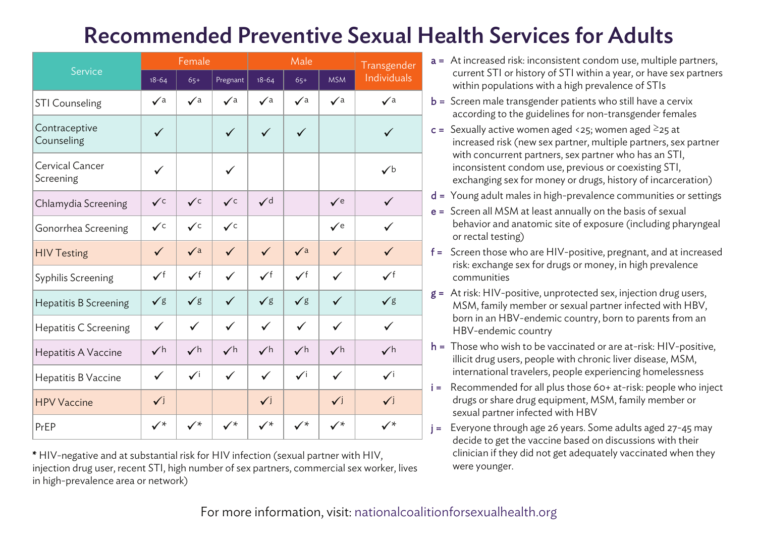## Recommended Preventive Sexual Health Services for Adults

| Service                      | Female         |                |                | Male            |                |                | Transgender    |
|------------------------------|----------------|----------------|----------------|-----------------|----------------|----------------|----------------|
|                              | $18 - 64$      | $65+$          | Pregnant       | $18 - 64$       | $65+$          | <b>MSM</b>     | Individuals    |
| <b>STI Counseling</b>        | $\sqrt{a}$     | $\sqrt{a}$     | $\sqrt{a}$     | $\sqrt{a}$      | $\sqrt{a}$     | $\sqrt{a}$     | $\sqrt{a}$     |
| Contraceptive<br>Counseling  | ✓              |                | ✓              | $\checkmark$    | $\checkmark$   |                | ✓              |
| Cervical Cancer<br>Screening | ✓              |                | ✓              |                 |                |                | $\checkmark$   |
| Chlamydia Screening          | $\checkmark$ c | $\checkmark$   | $\checkmark$ c | $\mathcal{V}$ d |                | $\sqrt{e}$     | $\checkmark$   |
| Gonorrhea Screening          | $\checkmark$ c | $\checkmark$   | $\checkmark$   |                 |                | $\checkmark$ e | ✓              |
| <b>HIV Testing</b>           | $\checkmark$   | $\sqrt{a}$     | $\checkmark$   | $\checkmark$    | $\sqrt{a}$     | $\checkmark$   | ✓              |
| Syphilis Screening           | $\checkmark$ f | $\checkmark$ f | ✓              | $\checkmark$ f  | $\checkmark$   | $\checkmark$   | $\checkmark$ f |
| Hepatitis B Screening        | √g             | $\sqrt{g}$     | ✓              | $\sqrt{g}$      | $\sqrt{g}$     | $\checkmark$   | $\sqrt{g}$     |
| Hepatitis C Screening        | ✓              | $\checkmark$   | ✓              | $\checkmark$    | ✓              | ✓              | ✓              |
| Hepatitis A Vaccine          | $\checkmark$ h | $\checkmark$ h | $\checkmark$ h | $\checkmark$ h  | $\checkmark$ h | $\checkmark$ h | $\checkmark$ h |
| Hepatitis B Vaccine          | $\checkmark$   | $\checkmark$ i | ✓              | $\checkmark$    | $\checkmark$   | ✓              | $\checkmark$   |
| <b>HPV Vaccine</b>           | $\checkmark$   |                |                | $\checkmark$    |                | $\checkmark$   | $\checkmark$   |
| PrEP                         | $\checkmark^*$ | $\checkmark$   | $\checkmark$   | $\checkmark$    | $\checkmark$   | $\checkmark$   | $\checkmark$   |

\* HIV-negative and at substantial risk for HIV infection (sexual partner with HIV, injection drug user, recent STI, high number of sex partners, commercial sex worker, lives in high-prevalence area or network)

- a = At increased risk: inconsistent condom use, multiple partners, current STI or history of STI within a year, or have sex partners within populations with a high prevalence of STIs
- **= Screen male transgender patients who still have a cervix** according to the guidelines for non-transgender females
- $c =$  Sexually active women aged <25; women aged  $\geq$ 25 at increased risk (new sex partner, multiple partners, sex partner with concurrent partners, sex partner who has an STI, inconsistent condom use, previous or coexisting STI, exchanging sex for money or drugs, history of incarceration)
- d = Young adult males in high-prevalence communities or settings
- $e =$  Screen all MSM at least annually on the basis of sexual behavior and anatomic site of exposure (including pharyngeal or rectal testing)
- f = Screen those who are HIV-positive, pregnant, and at increased risk: exchange sex for drugs or money, in high prevalence communities
- $g =$  At risk: HIV-positive, unprotected sex, injection drug users, MSM, family member or sexual partner infected with HBV, born in an HBV-endemic country, born to parents from an HBV-endemic country
- $h =$ Those who wish to be vaccinated or are at-risk: HIV-positive, illicit drug users, people with chronic liver disease, MSM, international travelers, people experiencing homelessness
- i = Recommended for all plus those 60+ at-risk: people who inject drugs or share drug equipment, MSM, family member or sexual partner infected with HBV
- j = Everyone through age 26 years. Some adults aged 27-45 may decide to get the vaccine based on discussions with their clinician if they did not get adequately vaccinated when they were younger.

For more information, visit[: nationalcoalitionforsexualhealth.org](https://nationalcoalitionforsexualhealth.org/)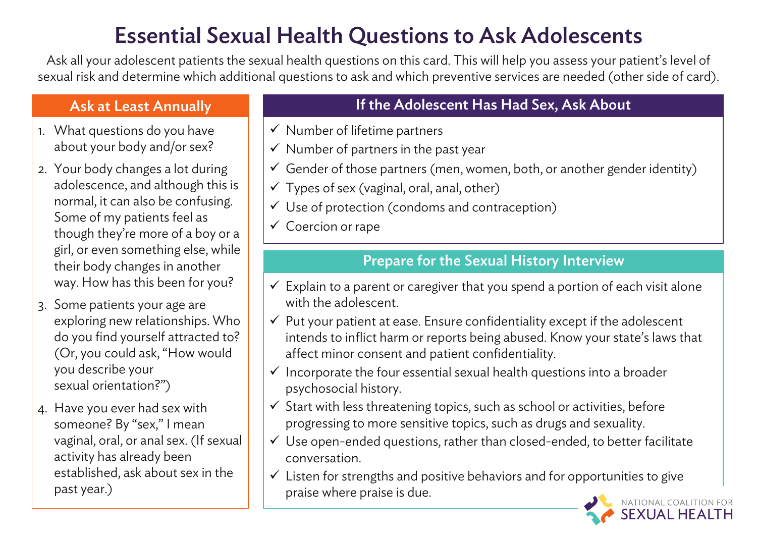# Essential Sexual Health Questions to Ask Adolescents

Ask all your adolescent patients the sexual health questions on this card. This will help you assess your patient's level of sexual risk and determine which additional questions to ask and which preventive services are needed (other side of card).

- 1. What questions do you have about your body and/or sex?
- 2. Your body changes a lot during adolescence, and although this is normal, it can also be confusing. Some of my patients feel as though they're more of a boy or a girl, or even something else, while their body changes in another way. How has this been for you?
- 3. Some patients your age are exploring new relationships. Who do you find yourself attracted to? (Or, you could ask, "How would you describe your sexual orientation?")
- 4. Have you ever had sex with someone? By "sex," I mean vaginal, oral, or anal sex. (If sexual activity has already been established, ask about sex in the past year.)

## Ask at Least Annually **If the Adolescent Has Had Sex, Ask About**

- $\checkmark$  Number of lifetime partners
- $\checkmark$  Number of partners in the past year
- $\checkmark$  Gender of those partners (men, women, both, or another gender identity)
- $\checkmark$  Types of sex (vaginal, oral, anal, other)
- $\checkmark$  Use of protection (condoms and contraception)
- $\checkmark$  Coercion or rape

### Prepare for the Sexual History Interview

- $\checkmark$  Explain to a parent or caregiver that you spend a portion of each visit alone with the adolescent.
- $\checkmark$  Put your patient at ease. Ensure confidentiality except if the adolescent intends to inflict harm or reports being abused. Know your state's laws that affect minor consent and patient confidentiality.
- $\checkmark$  Incorporate the four essential sexual health questions into a broader psychosocial history.
- $\checkmark$  Start with less threatening topics, such as school or activities, before progressing to more sensitive topics, such as drugs and sexuality.
- $\checkmark$  Use open-ended questions, rather than closed-ended, to better facilitate conversation.
- $\checkmark$  Listen for strengths and positive behaviors and for opportunities to give praise where praise is due.

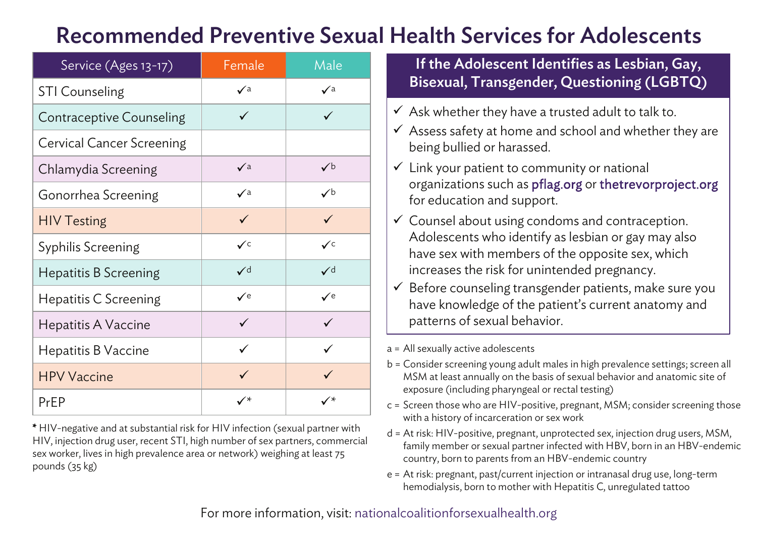## Recommended Preventive Sexual Health Services for Adolescents

| Service (Ages 13-17)      | Female         | Male           |
|---------------------------|----------------|----------------|
| <b>STI Counseling</b>     | $\checkmark$ a | $\sqrt{a}$     |
| Contraceptive Counseling  | ✓              | ✓              |
| Cervical Cancer Screening |                |                |
| Chlamydia Screening       | $\sqrt{a}$     | $\checkmark$   |
| Gonorrhea Screening       | $\checkmark$ a | $\checkmark$   |
| <b>HIV Testing</b>        | $\checkmark$   | $\checkmark$   |
| Syphilis Screening        | $\checkmark$ c | $\checkmark$ c |
| Hepatitis B Screening     | ✓∊             | ✓∊             |
| Hepatitis C Screening     | $\checkmark$ e | $\checkmark$ e |
| Hepatitis A Vaccine       | ✓              | ✓              |
| Hepatitis B Vaccine       | ✓              |                |
| <b>HPV Vaccine</b>        | ✓              | ✓              |
| PrEP                      | ✓∗             | ✓∗             |

\* HIV-negative and at substantial risk for HIV infection (sexual partner with HIV, injection drug user, recent STI, high number of sex partners, commercial sex worker, lives in high prevalence area or network) weighing at least 75 pounds (35 kg)

If the Adolescent Identifies as Lesbian, Gay, Bisexual, Transgender, Questioning (LGBTQ)

- $\checkmark$  Ask whether they have a trusted adult to talk to.
- $\checkmark$  Assess safety at home and school and whether they are being bullied or harassed.
- $\checkmark$  Link your patient to community or national organizations such as pflag.org or thetrevorproject.org for education and support.
- $\checkmark$  Counsel about using condoms and contraception. Adolescents who identify as lesbian or gay may also have sex with members of the opposite sex, which increases the risk for unintended pregnancy.
- $\checkmark$  Before counseling transgender patients, make sure you have knowledge of the patient's current anatomy and patterns of sexual behavior.

a = All sexually active adolescents

- b = Consider screening young adult males in high prevalence settings; screen all MSM at least annually on the basis of sexual behavior and anatomic site of exposure (including pharyngeal or rectal testing)
- c = Screen those who are HIV-positive, pregnant, MSM; consider screening those with a history of incarceration or sex work
- d = At risk: HIV-positive, pregnant, unprotected sex, injection drug users, MSM, family member or sexual partner infected with HBV, born in an HBV-endemic country, born to parents from an HBV-endemic country
- e = At risk: pregnant, past/current injection or intranasal drug use, long-term hemodialysis, born to mother with Hepatitis C, unregulated tattoo

For more information, visit[: nationalcoalitionforsexualhealth.org](https://nationalcoalitionforsexualhealth.org/)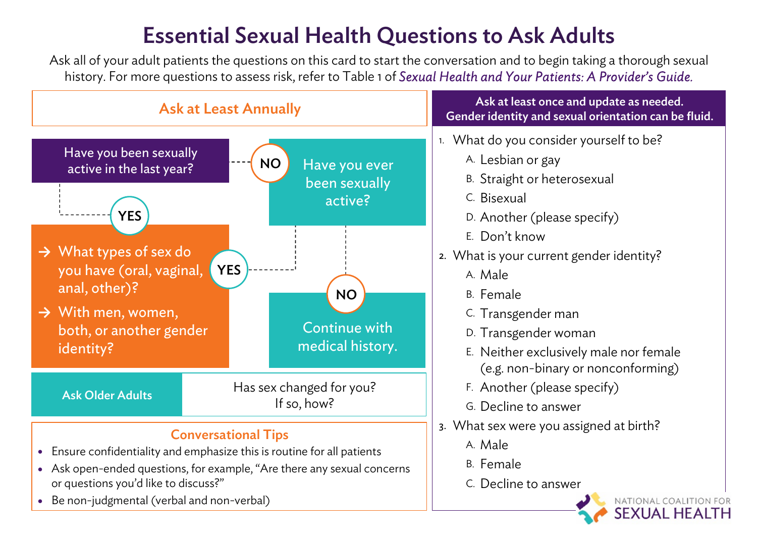# Essential Sexual Health Questions to Ask Adults

Ask all of your adult patients the questions on this card to start the conversation and to begin taking a thorough sexual history. For more questions to assess risk, refer to Table 1 of *Sexual Health and Your Patients: A Provider's Guide.*